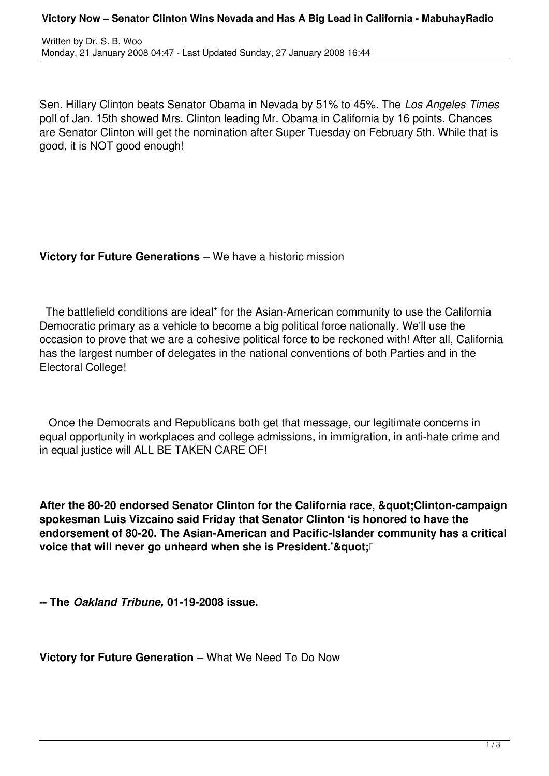Written by Dr. S. B. Woo Monday, 21 January 2008 04:47 - Last Updated Sunday, 27 January 2008 16:44

Sen. Hillary Clinton beats Senator Obama in Nevada by 51% to 45%. The *Los Angeles Times* poll of Jan. 15th showed Mrs. Clinton leading Mr. Obama in California by 16 points. Chances are Senator Clinton will get the nomination after Super Tuesday on February 5th. While that is good, it is NOT good enough!

## **Victory for Future Generations** – We have a historic mission

 The battlefield conditions are ideal\* for the Asian-American community to use the California Democratic primary as a vehicle to become a big political force nationally. We'll use the occasion to prove that we are a cohesive political force to be reckoned with! After all, California has the largest number of delegates in the national conventions of both Parties and in the Electoral College!

 Once the Democrats and Republicans both get that message, our legitimate concerns in equal opportunity in workplaces and college admissions, in immigration, in anti-hate crime and in equal justice will ALL BE TAKEN CARE OF!

After the 80-20 endorsed Senator Clinton for the California race, " Clinton-campaign **spokesman Luis Vizcaino said Friday that Senator Clinton 'is honored to have the endorsement of 80-20. The Asian-American and Pacific-Islander community has a critical voice that will never go unheard when she is President.'"**[

**-- The** *Oakland Tribune,* **01-19-2008 issue.**

**Victory for Future Generation** – What We Need To Do Now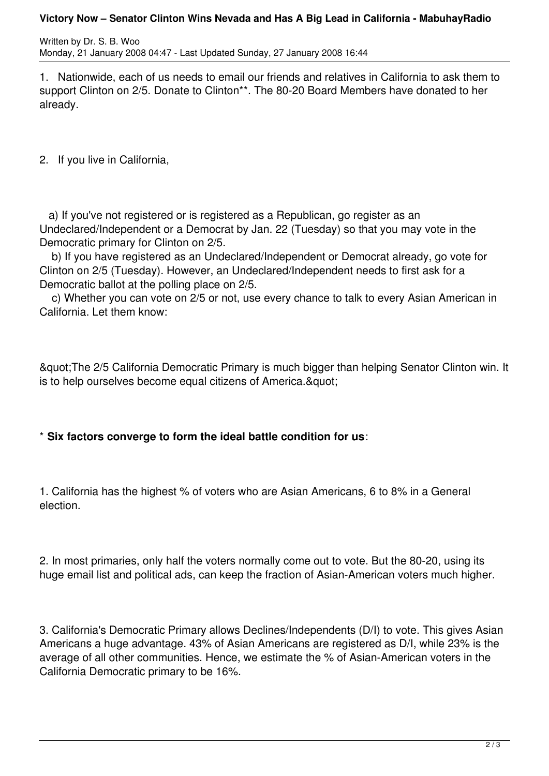## **Victory Now – Senator Clinton Wins Nevada and Has A Big Lead in California - MabuhayRadio**

Written by Dr. S. B. Woo Monday, 21 January 2008 04:47 - Last Updated Sunday, 27 January 2008 16:44

1. Nationwide, each of us needs to email our friends and relatives in California to ask them to support Clinton on 2/5. Donate to Clinton\*\*. The 80-20 Board Members have donated to her already.

2. If you live in California,

 a) If you've not registered or is registered as a Republican, go register as an Undeclared/Independent or a Democrat by Jan. 22 (Tuesday) so that you may vote in the Democratic primary for Clinton on 2/5.

 b) If you have registered as an Undeclared/Independent or Democrat already, go vote for Clinton on 2/5 (Tuesday). However, an Undeclared/Independent needs to first ask for a Democratic ballot at the polling place on 2/5.

 c) Whether you can vote on 2/5 or not, use every chance to talk to every Asian American in California. Let them know:

"The 2/5 California Democratic Primary is much bigger than helping Senator Clinton win. It is to help ourselves become equal citizens of America. & quot:

## \* **Six factors converge to form the ideal battle condition for us**:

1. California has the highest % of voters who are Asian Americans, 6 to 8% in a General election.

2. In most primaries, only half the voters normally come out to vote. But the 80-20, using its huge email list and political ads, can keep the fraction of Asian-American voters much higher.

3. California's Democratic Primary allows Declines/Independents (D/I) to vote. This gives Asian Americans a huge advantage. 43% of Asian Americans are registered as D/I, while 23% is the average of all other communities. Hence, we estimate the % of Asian-American voters in the California Democratic primary to be 16%.